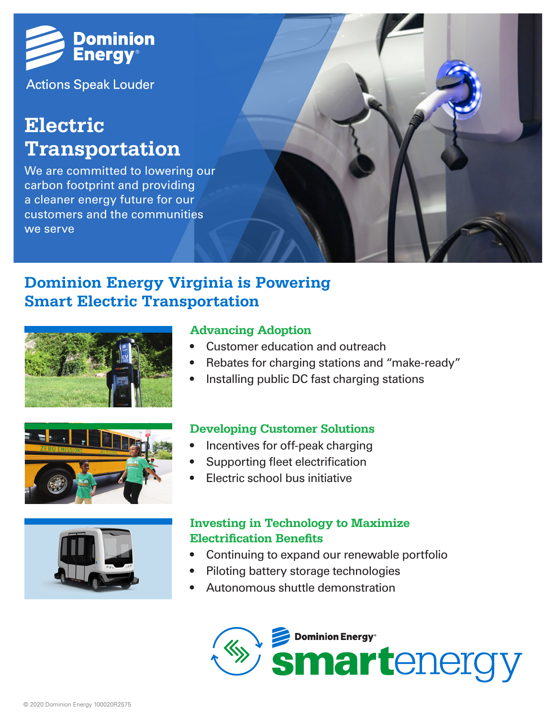

**Actions Speak Louder** 

# **Electric Transportation**

We are committed to lowering our carbon footprint and providing a cleaner energy future for our customers and the communities we serve



### **Dominion Energy Virginia is Powering Smart Electric Transportation**







#### **Advancing Adoption**

- Customer education and outreach
- Rebates for charging stations and "make-ready"
- Installing public DC fast charging stations

#### **Developing Customer Solutions**

- Incentives for off-peak charging
- Supporting fleet electrification
- Electric school bus initiative

#### **Investing in Technology to Maximize Electrification Benefits**

- Continuing to expand our renewable portfolio
- Piloting battery storage technologies
- Autonomous shuttle demonstration